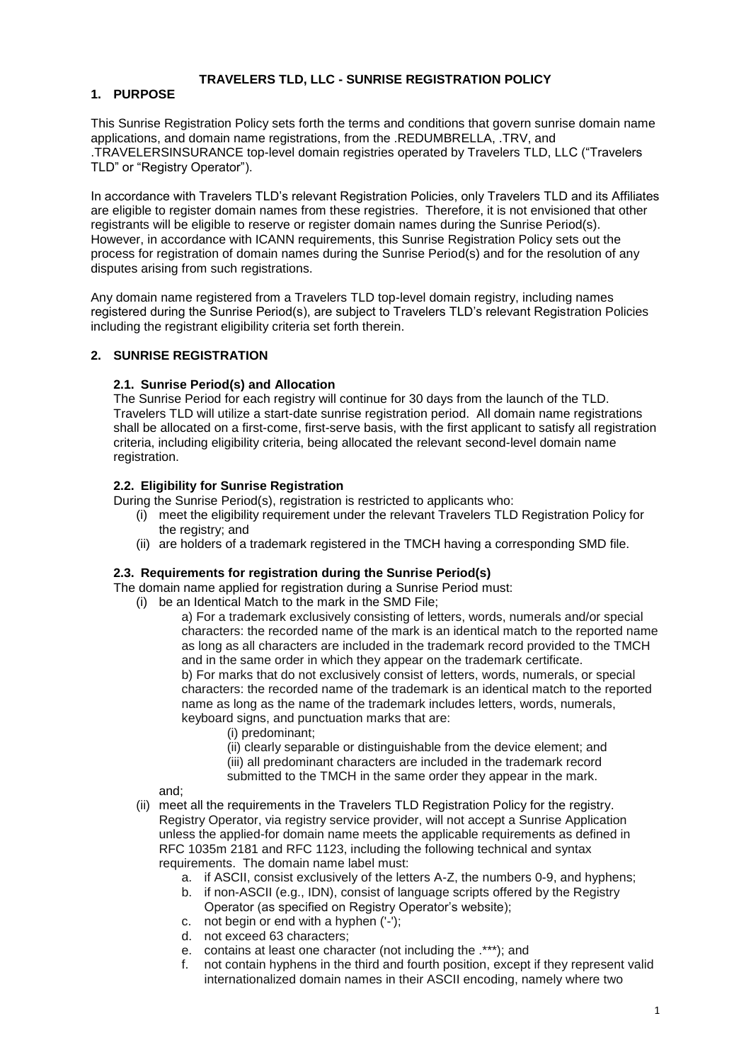## **TRAVELERS TLD, LLC - SUNRISE REGISTRATION POLICY**

# **1. PURPOSE**

This Sunrise Registration Policy sets forth the terms and conditions that govern sunrise domain name applications, and domain name registrations, from the .REDUMBRELLA, .TRV, and .TRAVELERSINSURANCE top-level domain registries operated by Travelers TLD, LLC ("Travelers TLD" or "Registry Operator").

In accordance with Travelers TLD's relevant Registration Policies, only Travelers TLD and its Affiliates are eligible to register domain names from these registries. Therefore, it is not envisioned that other registrants will be eligible to reserve or register domain names during the Sunrise Period(s). However, in accordance with ICANN requirements, this Sunrise Registration Policy sets out the process for registration of domain names during the Sunrise Period(s) and for the resolution of any disputes arising from such registrations.

Any domain name registered from a Travelers TLD top-level domain registry, including names registered during the Sunrise Period(s), are subject to Travelers TLD's relevant Registration Policies including the registrant eligibility criteria set forth therein.

#### **2. SUNRISE REGISTRATION**

#### **2.1. Sunrise Period(s) and Allocation**

The Sunrise Period for each registry will continue for 30 days from the launch of the TLD. Travelers TLD will utilize a start-date sunrise registration period. All domain name registrations shall be allocated on a first-come, first-serve basis, with the first applicant to satisfy all registration criteria, including eligibility criteria, being allocated the relevant second-level domain name registration.

#### **2.2. Eligibility for Sunrise Registration**

During the Sunrise Period(s), registration is restricted to applicants who:

- (i) meet the eligibility requirement under the relevant Travelers TLD Registration Policy for the registry; and
- (ii) are holders of a trademark registered in the TMCH having a corresponding SMD file.

### **2.3. Requirements for registration during the Sunrise Period(s)**

The domain name applied for registration during a Sunrise Period must:

- (i) be an Identical Match to the mark in the SMD File;
	- a) For a trademark exclusively consisting of letters, words, numerals and/or special characters: the recorded name of the mark is an identical match to the reported name as long as all characters are included in the trademark record provided to the TMCH and in the same order in which they appear on the trademark certificate. b) For marks that do not exclusively consist of letters, words, numerals, or special characters: the recorded name of the trademark is an identical match to the reported name as long as the name of the trademark includes letters, words, numerals, keyboard signs, and punctuation marks that are:
		- (i) predominant;
		- (ii) clearly separable or distinguishable from the device element; and (iii) all predominant characters are included in the trademark record
		- submitted to the TMCH in the same order they appear in the mark.

and;

- (ii) meet all the requirements in the Travelers TLD Registration Policy for the registry. Registry Operator, via registry service provider, will not accept a Sunrise Application unless the applied-for domain name meets the applicable requirements as defined in RFC 1035m 2181 and RFC 1123, including the following technical and syntax requirements. The domain name label must:
	- a. if ASCII, consist exclusively of the letters A-Z, the numbers 0-9, and hyphens;
		- b. if non-ASCII (e.g., IDN), consist of language scripts offered by the Registry Operator (as specified on Registry Operator's website);
		- c. not begin or end with a hyphen ('-');
		- d. not exceed 63 characters;
		- e. contains at least one character (not including the .\*\*\*); and
		- f. not contain hyphens in the third and fourth position, except if they represent valid internationalized domain names in their ASCII encoding, namely where two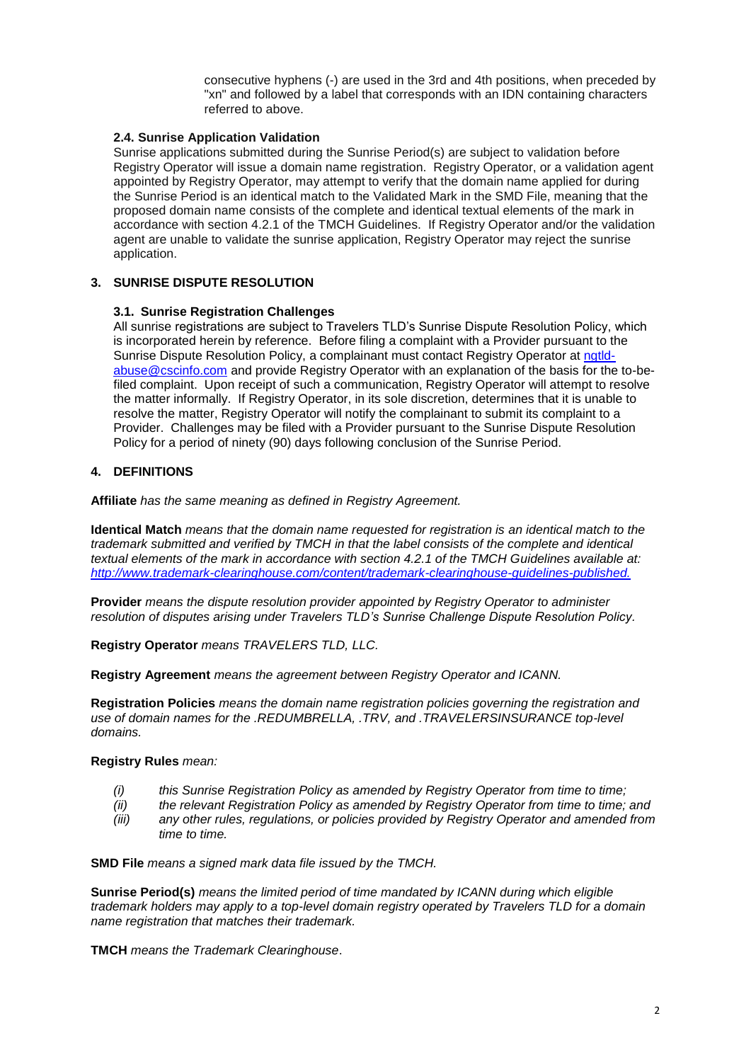consecutive hyphens (-) are used in the 3rd and 4th positions, when preceded by "xn" and followed by a label that corresponds with an IDN containing characters referred to above.

#### **2.4. Sunrise Application Validation**

Sunrise applications submitted during the Sunrise Period(s) are subject to validation before Registry Operator will issue a domain name registration. Registry Operator, or a validation agent appointed by Registry Operator, may attempt to verify that the domain name applied for during the Sunrise Period is an identical match to the Validated Mark in the SMD File, meaning that the proposed domain name consists of the complete and identical textual elements of the mark in accordance with section 4.2.1 of the TMCH Guidelines. If Registry Operator and/or the validation agent are unable to validate the sunrise application, Registry Operator may reject the sunrise application.

## **3. SUNRISE DISPUTE RESOLUTION**

#### **3.1. Sunrise Registration Challenges**

All sunrise registrations are subject to Travelers TLD's Sunrise Dispute Resolution Policy, which is incorporated herein by reference. Before filing a complaint with a Provider pursuant to the Sunrise Dispute Resolution Policy, a complainant must contact Registry Operator at [ngtld](mailto:ngtld-abuse@cscinfo.com)[abuse@cscinfo.com](mailto:ngtld-abuse@cscinfo.com) and provide Registry Operator with an explanation of the basis for the to-befiled complaint. Upon receipt of such a communication, Registry Operator will attempt to resolve the matter informally. If Registry Operator, in its sole discretion, determines that it is unable to resolve the matter, Registry Operator will notify the complainant to submit its complaint to a Provider. Challenges may be filed with a Provider pursuant to the Sunrise Dispute Resolution Policy for a period of ninety (90) days following conclusion of the Sunrise Period.

## **4. DEFINITIONS**

**Affiliate** *has the same meaning as defined in Registry Agreement.*

**Identical Match** *means that the domain name requested for registration is an identical match to the trademark submitted and verified by TMCH in that the label consists of the complete and identical textual elements of the mark in accordance with section 4.2.1 of the TMCH Guidelines available at: http://www.trademark-clearinghouse.com/content/trademark-clearinghouse-guidelines-published.*

**Provider** *means the dispute resolution provider appointed by Registry Operator to administer resolution of disputes arising under Travelers TLD's Sunrise Challenge Dispute Resolution Policy.* 

**Registry Operator** *means TRAVELERS TLD, LLC.*

**Registry Agreement** *means the agreement between Registry Operator and ICANN.*

**Registration Policies** *means the domain name registration policies governing the registration and use of domain names for the .REDUMBRELLA, .TRV, and .TRAVELERSINSURANCE top-level domains.* 

#### **Registry Rules** *mean:*

- *(i) this Sunrise Registration Policy as amended by Registry Operator from time to time;*
- *(ii) the relevant Registration Policy as amended by Registry Operator from time to time; and*
- *(iii) any other rules, regulations, or policies provided by Registry Operator and amended from time to time.*

**SMD File** *means a signed mark data file issued by the TMCH.*

**Sunrise Period(s)** *means the limited period of time mandated by ICANN during which eligible trademark holders may apply to a top-level domain registry operated by Travelers TLD for a domain name registration that matches their trademark.* 

**TMCH** *means the Trademark Clearinghouse*.